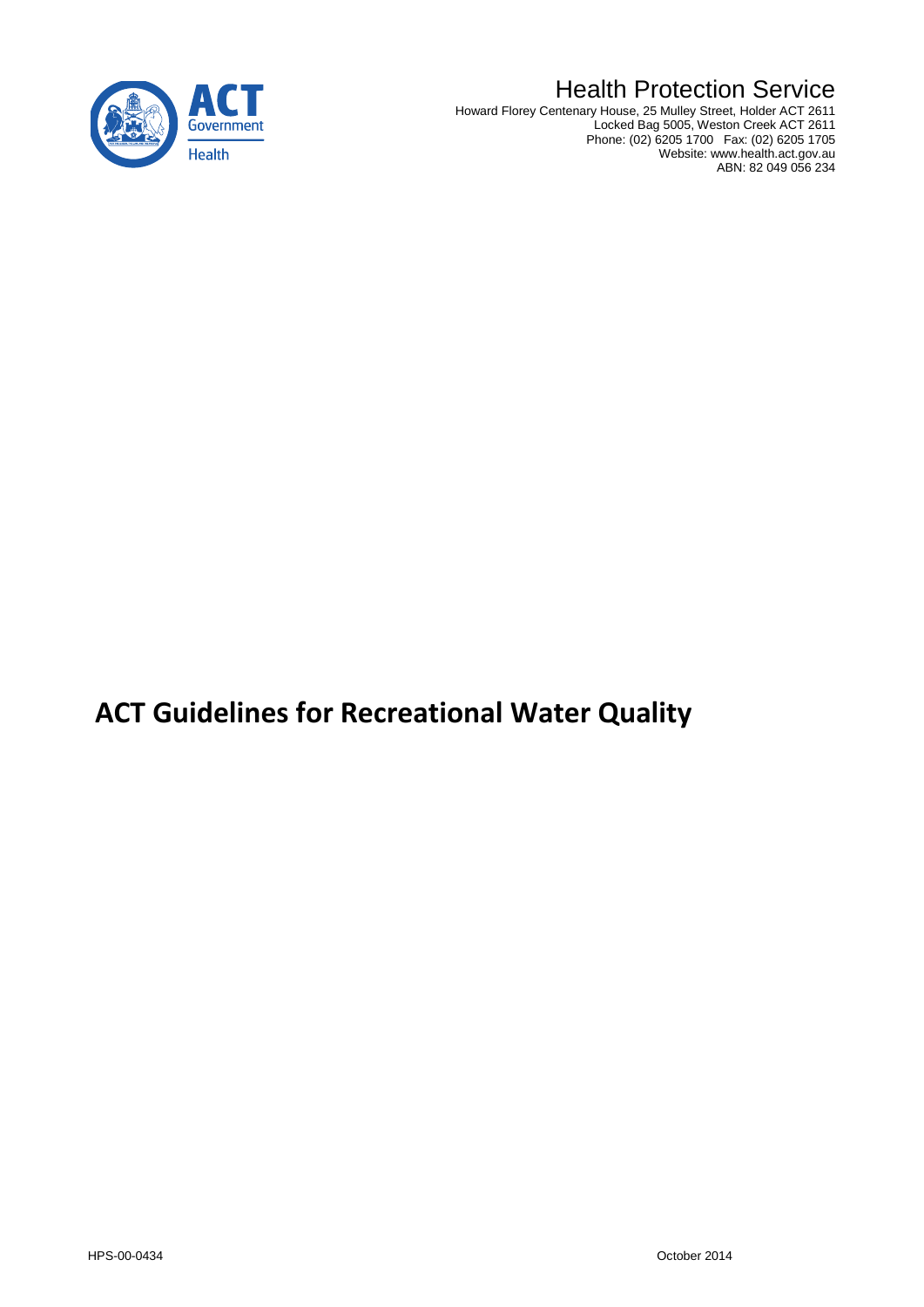

# Health Protection Service

Howard Florey Centenary House, 25 Mulley Street, Holder ACT 2611 Locked Bag 5005, Weston Creek ACT 2611 Phone: (02) 6205 1700 Fax: (02) 6205 1705 Website: www.health.act.gov.au ABN: 82 049 056 234

# **ACT Guidelines for Recreational Water Quality**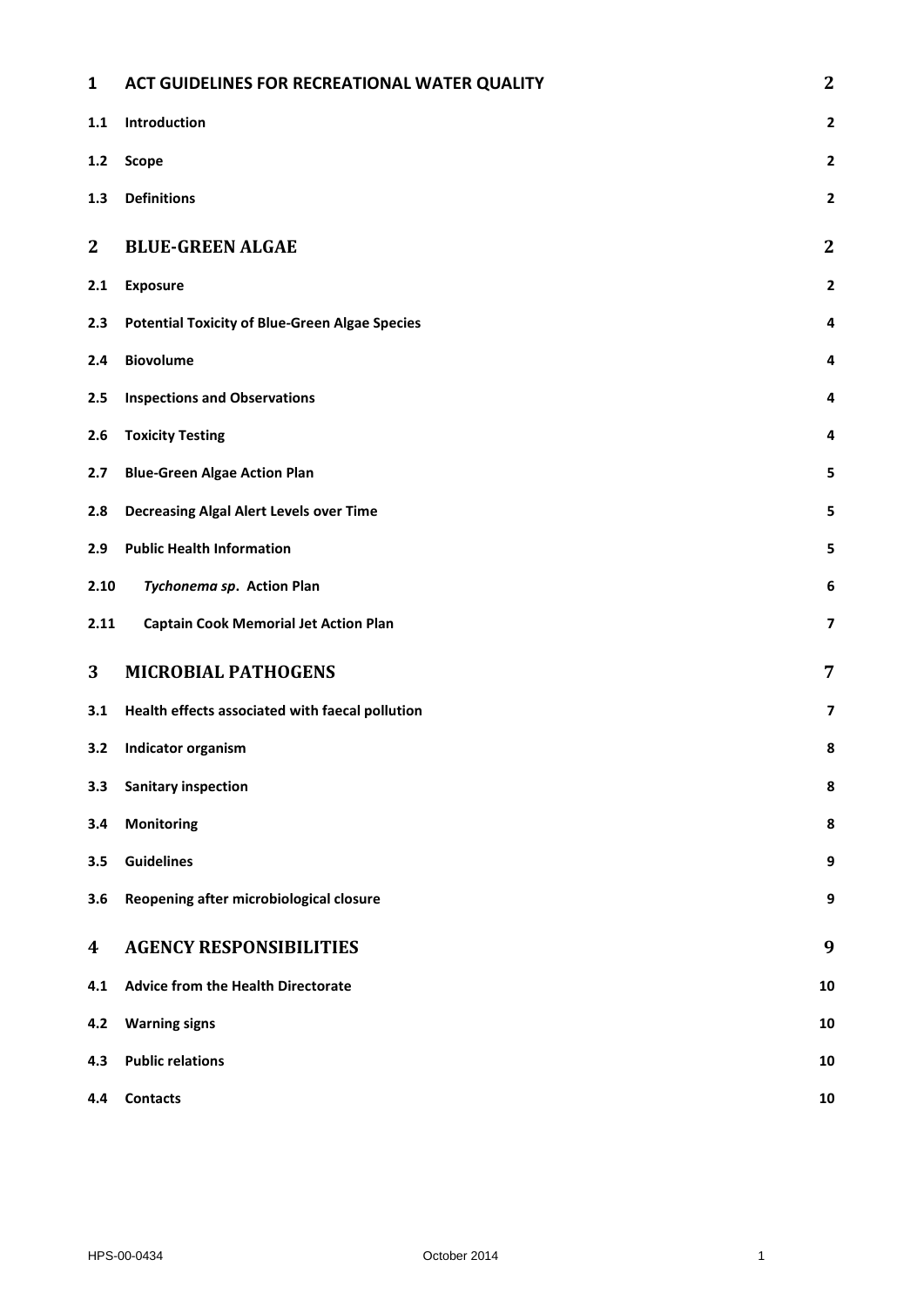| 1            | ACT GUIDELINES FOR RECREATIONAL WATER QUALITY         | $\mathbf{2}$            |  |
|--------------|-------------------------------------------------------|-------------------------|--|
| 1.1          | Introduction                                          | $\mathbf{2}$            |  |
| $1.2$        | <b>Scope</b>                                          | $\overline{2}$          |  |
| 1.3          | <b>Definitions</b>                                    | $\mathbf{2}$            |  |
| $\mathbf{2}$ | <b>BLUE-GREEN ALGAE</b>                               | $\boldsymbol{2}$        |  |
| 2.1          | <b>Exposure</b>                                       | $\mathbf{2}$            |  |
| 2.3          | <b>Potential Toxicity of Blue-Green Algae Species</b> | 4                       |  |
| 2.4          | <b>Biovolume</b>                                      | 4                       |  |
| 2.5          | <b>Inspections and Observations</b>                   | 4                       |  |
| 2.6          | <b>Toxicity Testing</b>                               | 4                       |  |
| 2.7          | <b>Blue-Green Algae Action Plan</b>                   | 5                       |  |
| 2.8          | <b>Decreasing Algal Alert Levels over Time</b>        | 5                       |  |
| 2.9          | <b>Public Health Information</b>                      | 5                       |  |
| 2.10         | Tychonema sp. Action Plan                             | 6                       |  |
| 2.11         | <b>Captain Cook Memorial Jet Action Plan</b>          | $\overline{\mathbf{z}}$ |  |
| 3            | <b>MICROBIAL PATHOGENS</b>                            | $\overline{7}$          |  |
| 3.1          | Health effects associated with faecal pollution       | $\overline{\mathbf{z}}$ |  |
| 3.2          | Indicator organism                                    | 8                       |  |
| 3.3          | <b>Sanitary inspection</b>                            |                         |  |
| 3.4          | <b>Monitoring</b>                                     |                         |  |
| 3.5          | <b>Guidelines</b>                                     |                         |  |
| 3.6          | Reopening after microbiological closure               | 9                       |  |
| 4            | <b>AGENCY RESPONSIBILITIES</b>                        | 9                       |  |
| 4.1          | <b>Advice from the Health Directorate</b>             | 10                      |  |
| 4.2          | <b>Warning signs</b>                                  |                         |  |
| 4.3          | <b>Public relations</b>                               |                         |  |
| 4.4          | <b>Contacts</b>                                       | 10                      |  |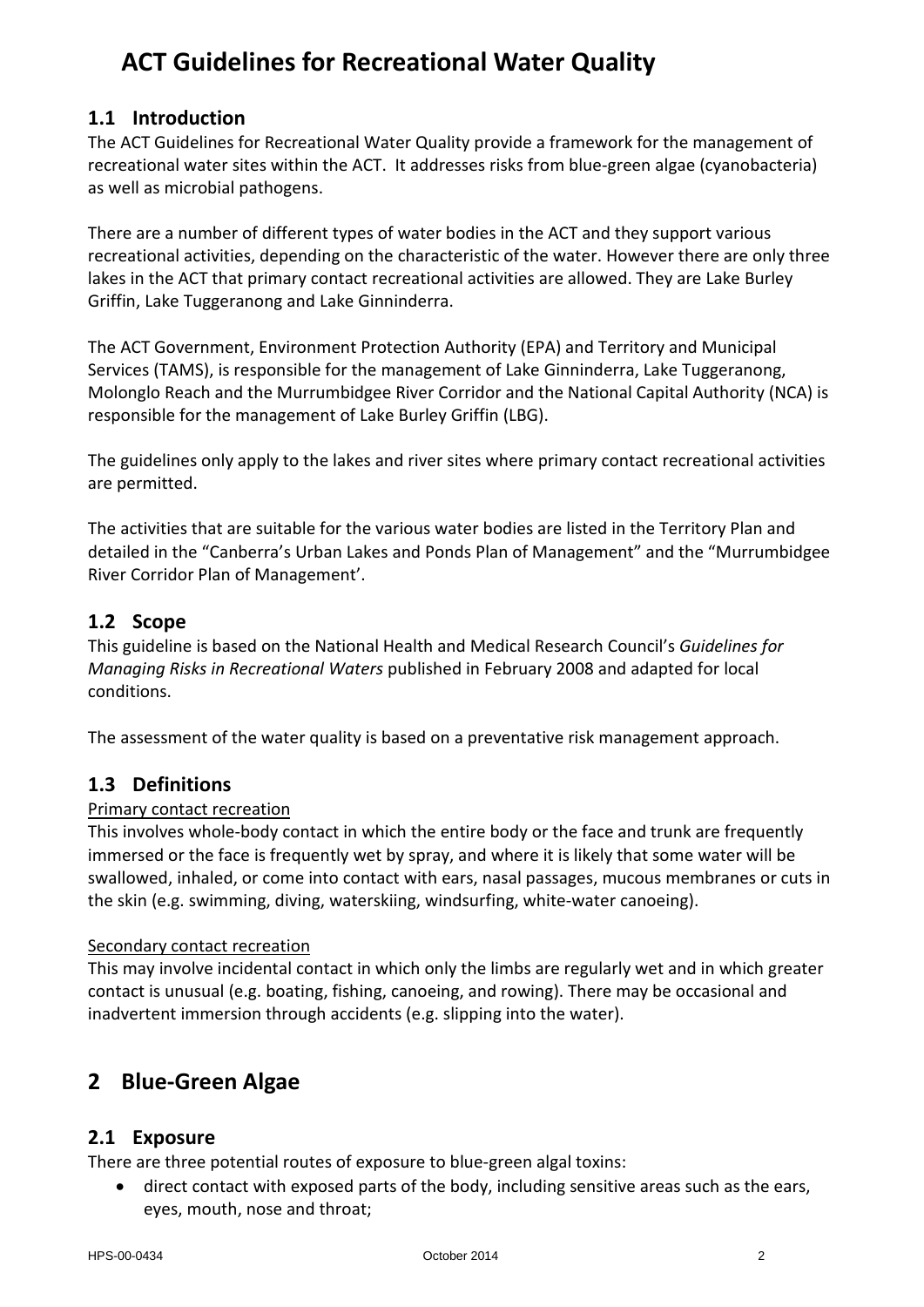# <span id="page-2-0"></span>**ACT Guidelines for Recreational Water Quality**

### <span id="page-2-1"></span>**1.1 Introduction**

The ACT Guidelines for Recreational Water Quality provide a framework for the management of recreational water sites within the ACT. It addresses risks from blue-green algae (cyanobacteria) as well as microbial pathogens.

There are a number of different types of water bodies in the ACT and they support various recreational activities, depending on the characteristic of the water. However there are only three lakes in the ACT that primary contact recreational activities are allowed. They are Lake Burley Griffin, Lake Tuggeranong and Lake Ginninderra.

The ACT Government, Environment Protection Authority (EPA) and Territory and Municipal Services (TAMS), is responsible for the management of Lake Ginninderra, Lake Tuggeranong, Molonglo Reach and the Murrumbidgee River Corridor and the National Capital Authority (NCA) is responsible for the management of Lake Burley Griffin (LBG).

The guidelines only apply to the lakes and river sites where primary contact recreational activities are permitted.

The activities that are suitable for the various water bodies are listed in the Territory Plan and detailed in the "Canberra's Urban Lakes and Ponds Plan of Management" and the "Murrumbidgee River Corridor Plan of Management'.

### <span id="page-2-2"></span>**1.2 Scope**

This guideline is based on the National Health and Medical Research Council's *Guidelines for Managing Risks in Recreational Waters* published in February 2008 and adapted for local conditions.

The assessment of the water quality is based on a preventative risk management approach.

### <span id="page-2-3"></span>**1.3 Definitions**

#### Primary contact recreation

This involves whole-body contact in which the entire body or the face and trunk are frequently immersed or the face is frequently wet by spray, and where it is likely that some water will be swallowed, inhaled, or come into contact with ears, nasal passages, mucous membranes or cuts in the skin (e.g. swimming, diving, waterskiing, windsurfing, white-water canoeing).

#### Secondary contact recreation

This may involve incidental contact in which only the limbs are regularly wet and in which greater contact is unusual (e.g. boating, fishing, canoeing, and rowing). There may be occasional and inadvertent immersion through accidents (e.g. slipping into the water).

# <span id="page-2-4"></span>**2 Blue-Green Algae**

#### <span id="page-2-5"></span>**2.1 Exposure**

There are three potential routes of exposure to blue-green algal toxins:

• direct contact with exposed parts of the body, including sensitive areas such as the ears, eyes, mouth, nose and throat;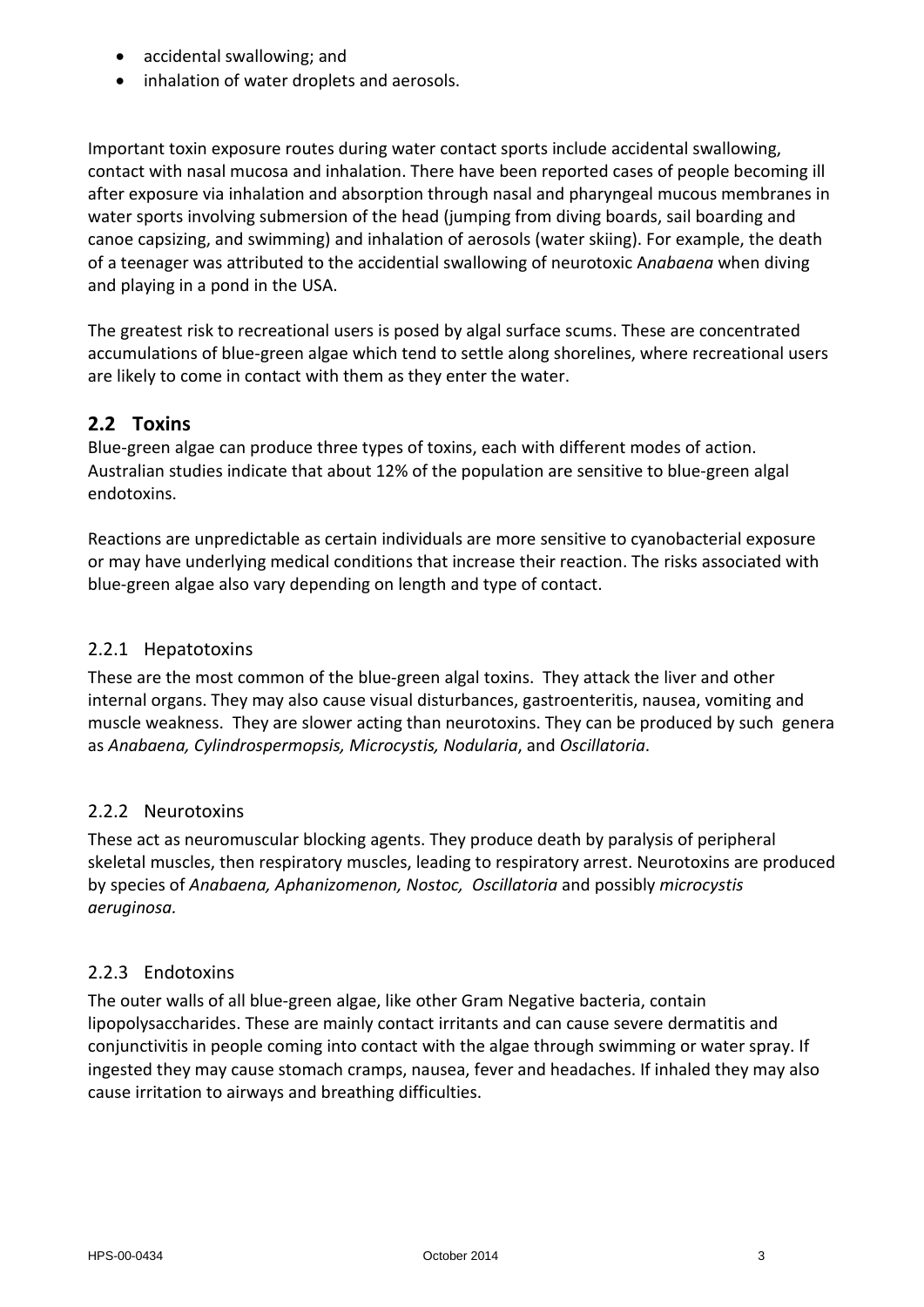- accidental swallowing; and
- inhalation of water droplets and aerosols.

Important toxin exposure routes during water contact sports include accidental swallowing, contact with nasal mucosa and inhalation. There have been reported cases of people becoming ill after exposure via inhalation and absorption through nasal and pharyngeal mucous membranes in water sports involving submersion of the head (jumping from diving boards, sail boarding and canoe capsizing, and swimming) and inhalation of aerosols (water skiing). For example, the death of a teenager was attributed to the accidential swallowing of neurotoxic A*nabaena* when diving and playing in a pond in the USA.

The greatest risk to recreational users is posed by algal surface scums. These are concentrated accumulations of blue-green algae which tend to settle along shorelines, where recreational users are likely to come in contact with them as they enter the water.

### **2.2 Toxins**

Blue-green algae can produce three types of toxins, each with different modes of action. Australian studies indicate that about 12% of the population are sensitive to blue-green algal endotoxins.

Reactions are unpredictable as certain individuals are more sensitive to cyanobacterial exposure or may have underlying medical conditions that increase their reaction. The risks associated with blue-green algae also vary depending on length and type of contact.

#### 2.2.1 Hepatotoxins

These are the most common of the blue-green algal toxins. They attack the liver and other internal organs. They may also cause visual disturbances, gastroenteritis, nausea, vomiting and muscle weakness. They are slower acting than neurotoxins. They can be produced by such genera as *Anabaena, Cylindrospermopsis, Microcystis, Nodularia*, and *Oscillatoria*.

#### 2.2.2 Neurotoxins

These act as neuromuscular blocking agents. They produce death by paralysis of peripheral skeletal muscles, then respiratory muscles, leading to respiratory arrest. Neurotoxins are produced by species of *Anabaena, Aphanizomenon, Nostoc, Oscillatoria* and possibly *microcystis aeruginosa.*

#### 2.2.3 Endotoxins

The outer walls of all blue-green algae, like other Gram Negative bacteria, contain lipopolysaccharides. These are mainly contact irritants and can cause severe dermatitis and conjunctivitis in people coming into contact with the algae through swimming or water spray. If ingested they may cause stomach cramps, nausea, fever and headaches. If inhaled they may also cause irritation to airways and breathing difficulties.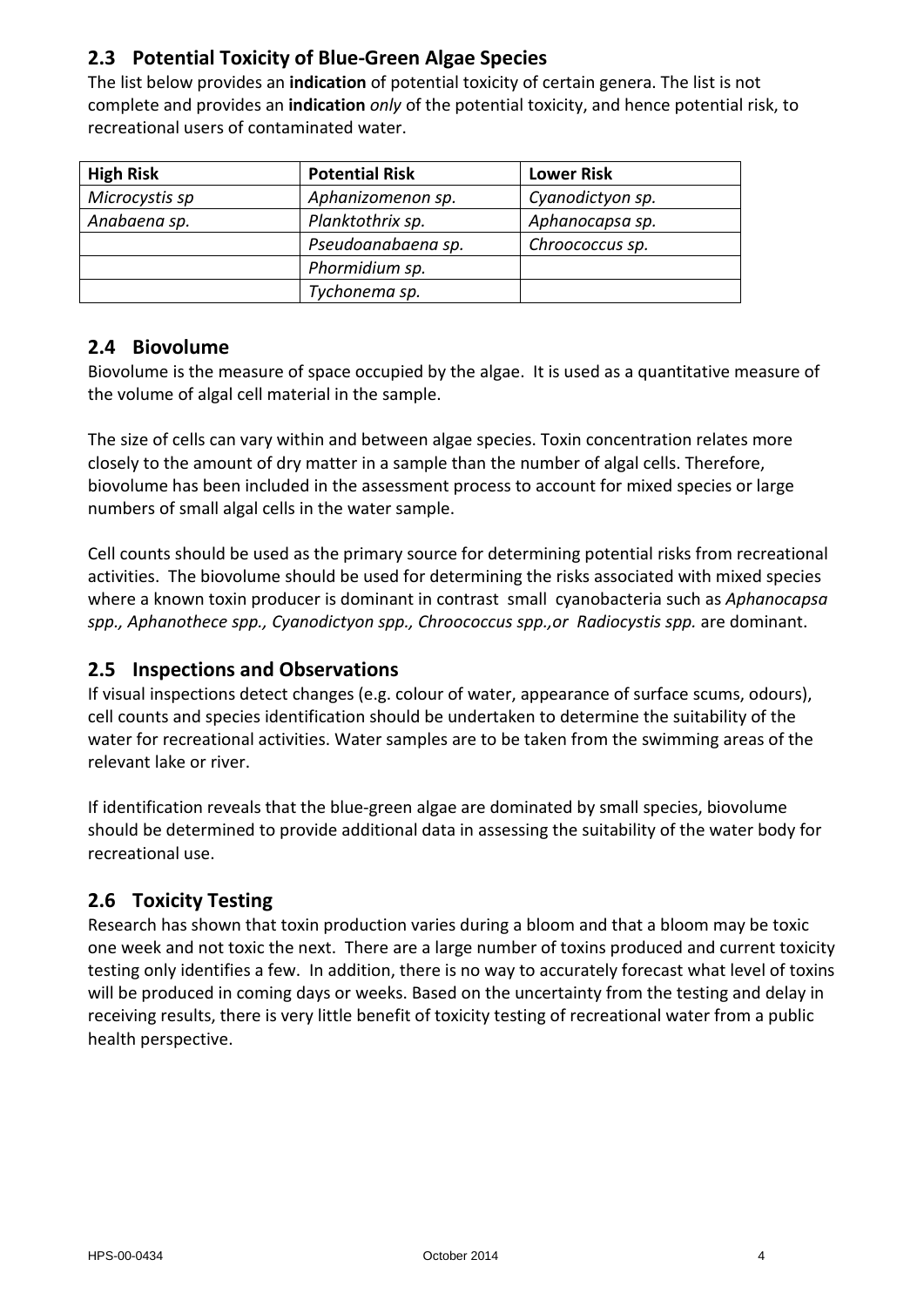# <span id="page-4-0"></span>**2.3 Potential Toxicity of Blue-Green Algae Species**

The list below provides an **indication** of potential toxicity of certain genera. The list is not complete and provides an **indication** *only* of the potential toxicity, and hence potential risk, to recreational users of contaminated water.

| <b>High Risk</b> | <b>Potential Risk</b> | <b>Lower Risk</b> |
|------------------|-----------------------|-------------------|
| Microcystis sp   | Aphanizomenon sp.     | Cyanodictyon sp.  |
| Anabaena sp.     | Planktothrix sp.      | Aphanocapsa sp.   |
|                  | Pseudoanabaena sp.    | Chroococcus sp.   |
|                  | Phormidium sp.        |                   |
|                  | Tychonema sp.         |                   |

### <span id="page-4-1"></span>**2.4 Biovolume**

Biovolume is the measure of space occupied by the algae. It is used as a quantitative measure of the volume of algal cell material in the sample.

The size of cells can vary within and between algae species. Toxin concentration relates more closely to the amount of dry matter in a sample than the number of algal cells. Therefore, biovolume has been included in the assessment process to account for mixed species or large numbers of small algal cells in the water sample.

Cell counts should be used as the primary source for determining potential risks from recreational activities. The biovolume should be used for determining the risks associated with mixed species where a known toxin producer is dominant in contrast small cyanobacteria such as *Aphanocapsa spp., Aphanothece spp., Cyanodictyon spp., Chroococcus spp.,or Radiocystis spp.* are dominant.

### <span id="page-4-2"></span>**2.5 Inspections and Observations**

If visual inspections detect changes (e.g. colour of water, appearance of surface scums, odours), cell counts and species identification should be undertaken to determine the suitability of the water for recreational activities. Water samples are to be taken from the swimming areas of the relevant lake or river.

If identification reveals that the blue-green algae are dominated by small species, biovolume should be determined to provide additional data in assessing the suitability of the water body for recreational use.

### <span id="page-4-3"></span>**2.6 Toxicity Testing**

Research has shown that toxin production varies during a bloom and that a bloom may be toxic one week and not toxic the next. There are a large number of toxins produced and current toxicity testing only identifies a few. In addition, there is no way to accurately forecast what level of toxins will be produced in coming days or weeks. Based on the uncertainty from the testing and delay in receiving results, there is very little benefit of toxicity testing of recreational water from a public health perspective.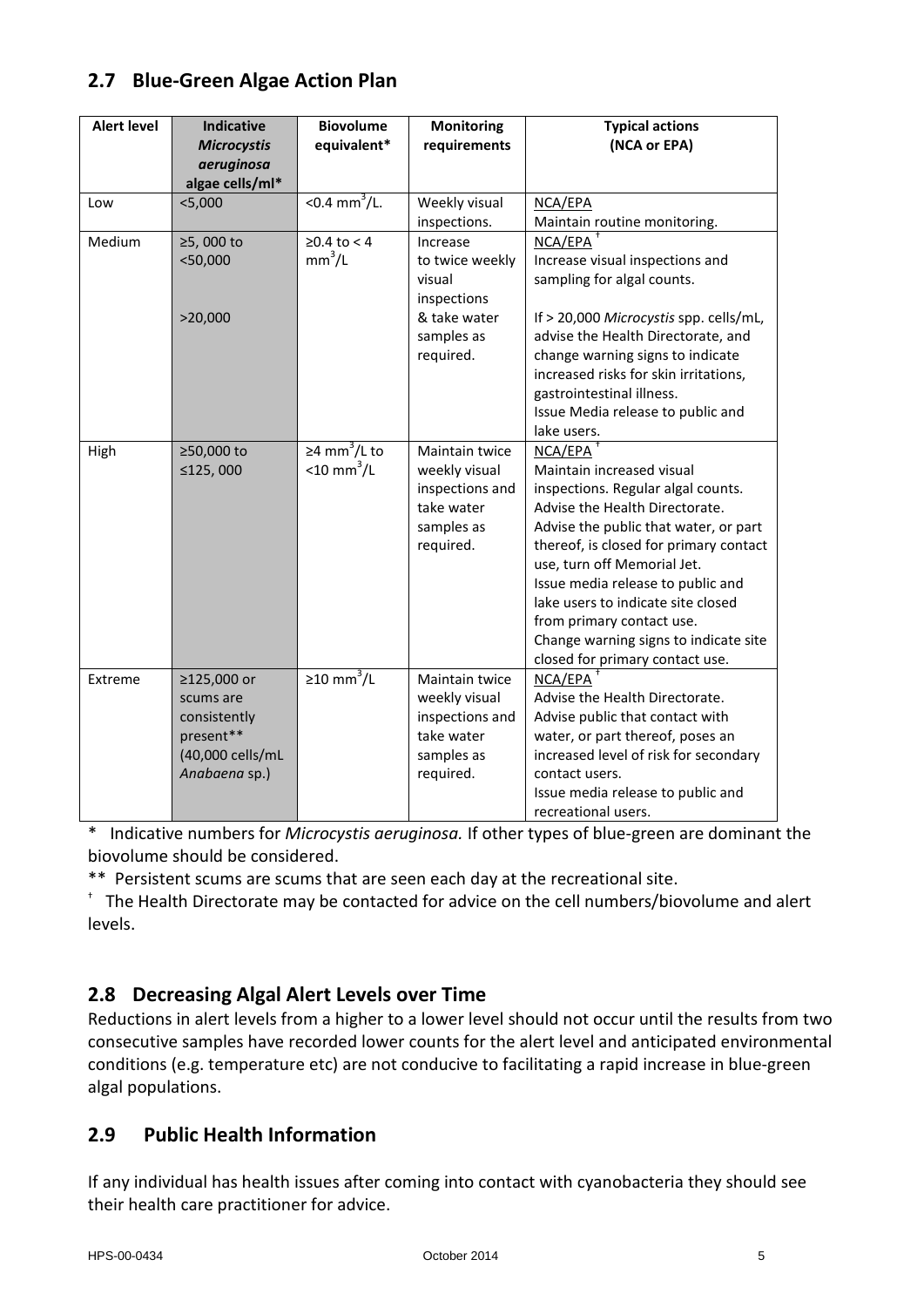# <span id="page-5-0"></span>**2.7 Blue-Green Algae Action Plan**

| <b>Alert level</b> | <b>Indicative</b>  | <b>Biovolume</b>          | Monitoring      | <b>Typical actions</b>                 |
|--------------------|--------------------|---------------------------|-----------------|----------------------------------------|
|                    | <b>Microcystis</b> | equivalent*               | requirements    | (NCA or EPA)                           |
|                    | aeruginosa         |                           |                 |                                        |
|                    | algae cells/ml*    |                           |                 |                                        |
| Low                | $<$ 5,000          | < $0.4 \text{ mm}^3$ /L.  | Weekly visual   | NCA/EPA                                |
|                    |                    |                           | inspections.    | Maintain routine monitoring.           |
| Medium             | ≥5,000 to          | $≥0.4$ to < 4             | Increase        | NCA/EPA                                |
|                    | $<$ 50,000         | mm <sup>3</sup> /L        | to twice weekly | Increase visual inspections and        |
|                    |                    |                           | visual          | sampling for algal counts.             |
|                    |                    |                           | inspections     |                                        |
|                    | >20,000            |                           | & take water    | If > 20,000 Microcystis spp. cells/mL, |
|                    |                    |                           | samples as      | advise the Health Directorate, and     |
|                    |                    |                           | required.       | change warning signs to indicate       |
|                    |                    |                           |                 | increased risks for skin irritations,  |
|                    |                    |                           |                 | gastrointestinal illness.              |
|                    |                    |                           |                 | Issue Media release to public and      |
|                    |                    |                           |                 | lake users.                            |
| High               | ≥50,000 to         | ≥4 mm <sup>3</sup> /L to  | Maintain twice  | NCA/EPA                                |
|                    | ≤125,000           | $<$ 10 mm <sup>3</sup> /L | weekly visual   | Maintain increased visual              |
|                    |                    |                           | inspections and | inspections. Regular algal counts.     |
|                    |                    |                           | take water      | Advise the Health Directorate.         |
|                    |                    |                           | samples as      | Advise the public that water, or part  |
|                    |                    |                           | required.       | thereof, is closed for primary contact |
|                    |                    |                           |                 | use, turn off Memorial Jet.            |
|                    |                    |                           |                 | Issue media release to public and      |
|                    |                    |                           |                 | lake users to indicate site closed     |
|                    |                    |                           |                 | from primary contact use.              |
|                    |                    |                           |                 | Change warning signs to indicate site  |
|                    |                    |                           |                 | closed for primary contact use.        |
| Extreme            | ≥125,000 or        | ≥10 mm <sup>3</sup> /L    | Maintain twice  | NCA/EPA                                |
|                    | scums are          |                           | weekly visual   | Advise the Health Directorate.         |
|                    | consistently       |                           | inspections and | Advise public that contact with        |
|                    | present**          |                           | take water      | water, or part thereof, poses an       |
|                    | (40,000 cells/mL   |                           | samples as      | increased level of risk for secondary  |
|                    | Anabaena sp.)      |                           | required.       | contact users.                         |
|                    |                    |                           |                 | Issue media release to public and      |
|                    |                    |                           |                 | recreational users.                    |

\* Indicative numbers for *Microcystis aeruginosa.* If other types of blue-green are dominant the biovolume should be considered.

\*\* Persistent scums are scums that are seen each day at the recreational site. †

<sup>+</sup> The Health Directorate may be contacted for advice on the cell numbers/biovolume and alert levels.

# <span id="page-5-1"></span>**2.8 Decreasing Algal Alert Levels over Time**

Reductions in alert levels from a higher to a lower level should not occur until the results from two consecutive samples have recorded lower counts for the alert level and anticipated environmental conditions (e.g. temperature etc) are not conducive to facilitating a rapid increase in blue-green algal populations.

# <span id="page-5-2"></span>**2.9 Public Health Information**

If any individual has health issues after coming into contact with cyanobacteria they should see their health care practitioner for advice.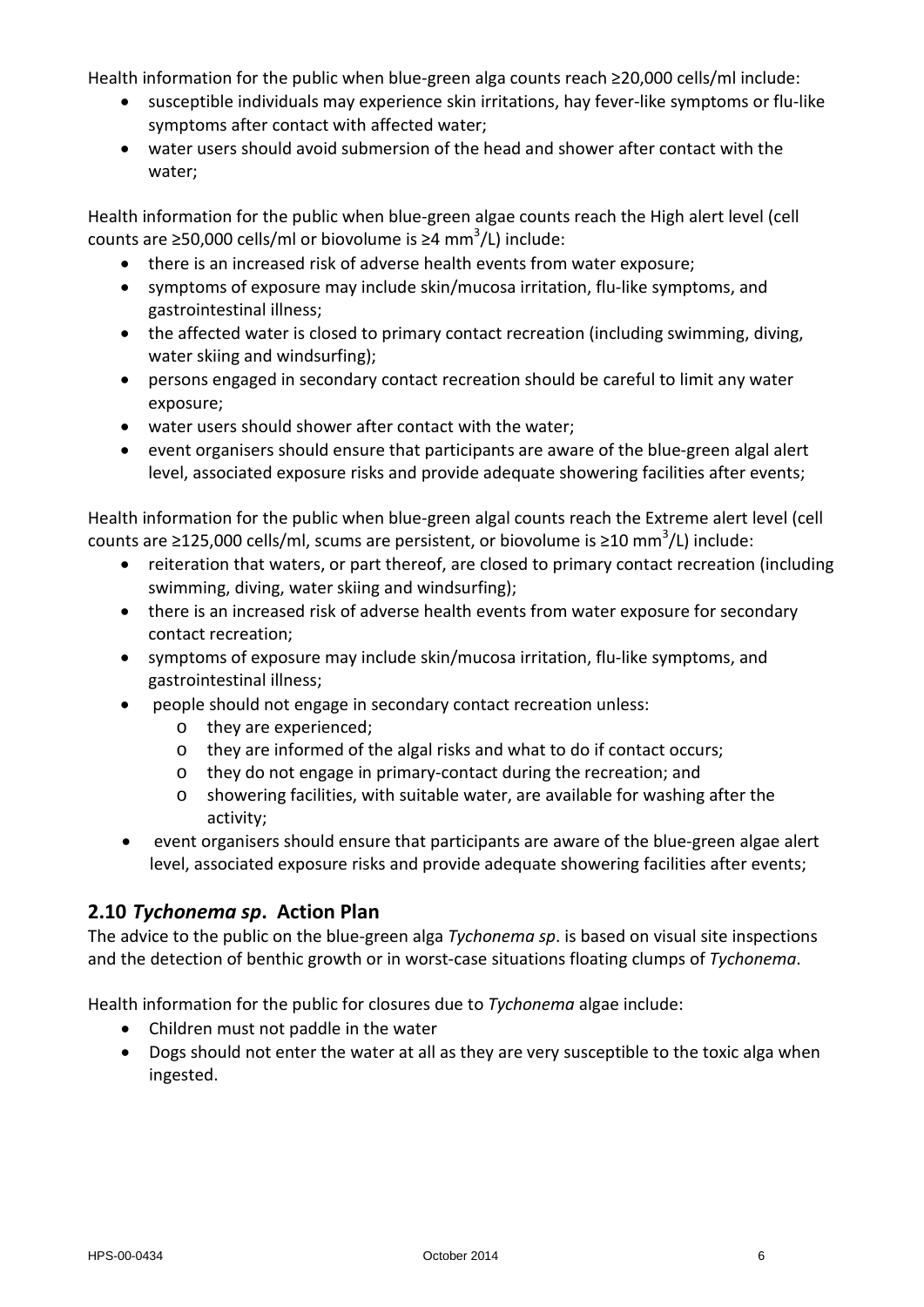Health information for the public when blue-green alga counts reach ≥20,000 cells/ml include:

- susceptible individuals may experience skin irritations, hay fever-like symptoms or flu-like symptoms after contact with affected water;
- water users should avoid submersion of the head and shower after contact with the water;

Health information for the public when blue-green algae counts reach the High alert level (cell counts are ≥50,000 cells/ml or biovolume is ≥4 mm<sup>3</sup>/L) include:

- there is an increased risk of adverse health events from water exposure;
- symptoms of exposure may include skin/mucosa irritation, flu-like symptoms, and gastrointestinal illness;
- the affected water is closed to primary contact recreation (including swimming, diving, water skiing and windsurfing);
- persons engaged in secondary contact recreation should be careful to limit any water exposure;
- water users should shower after contact with the water;
- event organisers should ensure that participants are aware of the blue-green algal alert level, associated exposure risks and provide adequate showering facilities after events;

Health information for the public when blue-green algal counts reach the Extreme alert level (cell counts are ≥125,000 cells/ml, scums are persistent, or biovolume is ≥10 mm<sup>3</sup>/L) include:

- reiteration that waters, or part thereof, are closed to primary contact recreation (including swimming, diving, water skiing and windsurfing);
- there is an increased risk of adverse health events from water exposure for secondary contact recreation;
- symptoms of exposure may include skin/mucosa irritation, flu-like symptoms, and gastrointestinal illness;
- people should not engage in secondary contact recreation unless:
	- o they are experienced;
	- o they are informed of the algal risks and what to do if contact occurs;
	- o they do not engage in primary-contact during the recreation; and
	- o showering facilities, with suitable water, are available for washing after the activity;
- event organisers should ensure that participants are aware of the blue-green algae alert level, associated exposure risks and provide adequate showering facilities after events;

# <span id="page-6-0"></span>**2.10** *Tychonema sp***. Action Plan**

The advice to the public on the blue-green alga *Tychonema sp*. is based on visual site inspections and the detection of benthic growth or in worst-case situations floating clumps of *Tychonema*.

Health information for the public for closures due to *Tychonema* algae include:

- Children must not paddle in the water
- Dogs should not enter the water at all as they are very susceptible to the toxic alga when ingested.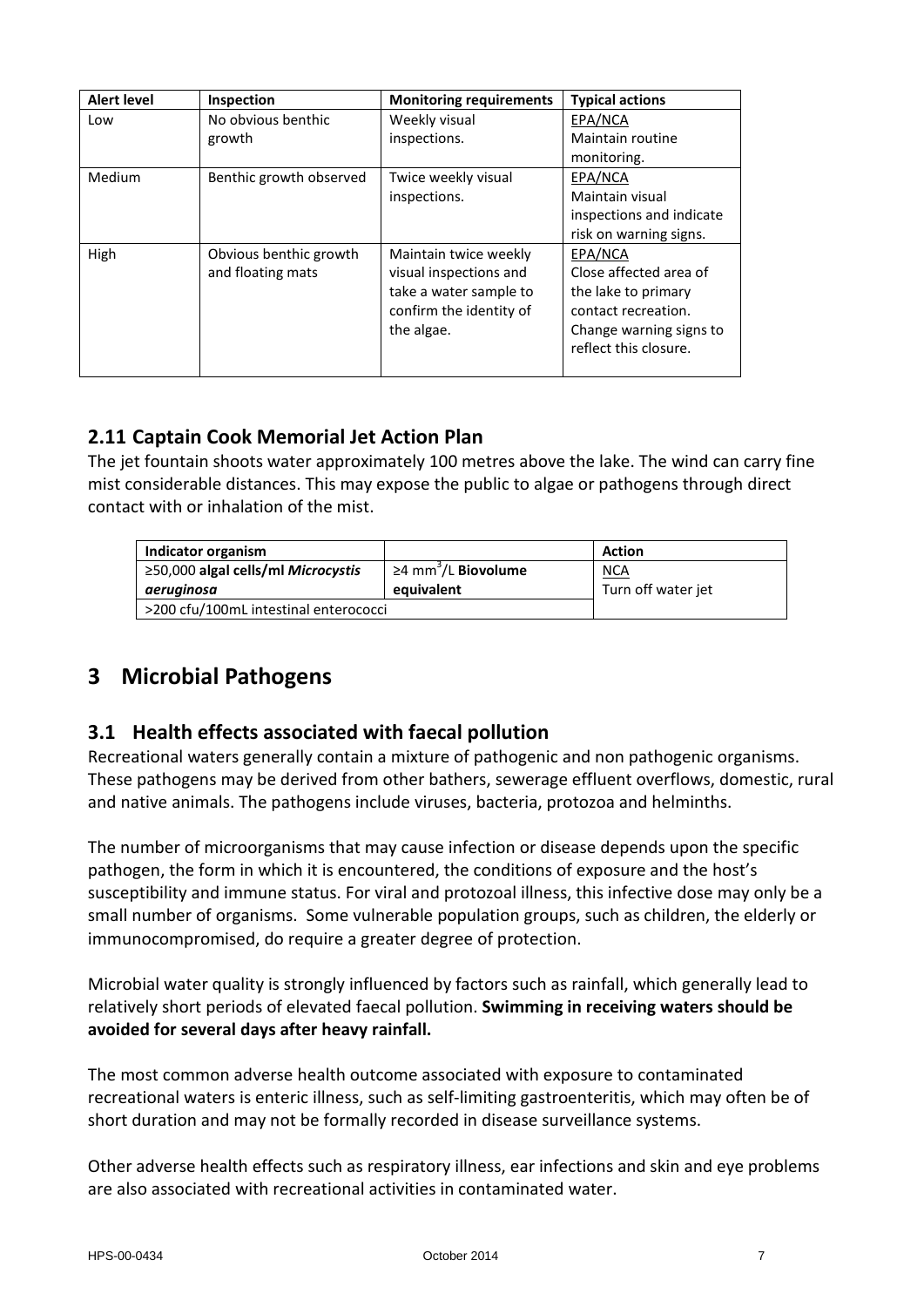| <b>Alert level</b> | Inspection              | <b>Monitoring requirements</b> | <b>Typical actions</b>   |
|--------------------|-------------------------|--------------------------------|--------------------------|
| Low                | No obvious benthic      | Weekly visual                  | EPA/NCA                  |
|                    | growth                  | inspections.                   | Maintain routine         |
|                    |                         |                                | monitoring.              |
| Medium             | Benthic growth observed | Twice weekly visual            | EPA/NCA                  |
|                    |                         | inspections.                   | Maintain visual          |
|                    |                         |                                | inspections and indicate |
|                    |                         |                                | risk on warning signs.   |
| High               | Obvious benthic growth  | Maintain twice weekly          | EPA/NCA                  |
|                    | and floating mats       | visual inspections and         | Close affected area of   |
|                    |                         | take a water sample to         | the lake to primary      |
|                    |                         | confirm the identity of        | contact recreation.      |
|                    |                         | the algae.                     | Change warning signs to  |
|                    |                         |                                | reflect this closure.    |
|                    |                         |                                |                          |

# <span id="page-7-0"></span>**2.11 Captain Cook Memorial Jet Action Plan**

The jet fountain shoots water approximately 100 metres above the lake. The wind can carry fine mist considerable distances. This may expose the public to algae or pathogens through direct contact with or inhalation of the mist.

| Indicator organism                    |                                              | <b>Action</b>      |
|---------------------------------------|----------------------------------------------|--------------------|
| ≥50,000 algal cells/ml Microcystis    | $\geq$ 4 mm <sup>3</sup> /L <b>Biovolume</b> | <u>NCA</u>         |
| aeruginosa                            | equivalent                                   | Turn off water jet |
| >200 cfu/100mL intestinal enterococci |                                              |                    |

# <span id="page-7-1"></span>**3 Microbial Pathogens**

### <span id="page-7-2"></span>**3.1 Health effects associated with faecal pollution**

Recreational waters generally contain a mixture of pathogenic and non pathogenic organisms. These pathogens may be derived from other bathers, sewerage effluent overflows, domestic, rural and native animals. The pathogens include viruses, bacteria, protozoa and helminths.

The number of microorganisms that may cause infection or disease depends upon the specific pathogen, the form in which it is encountered, the conditions of exposure and the host's susceptibility and immune status. For viral and protozoal illness, this infective dose may only be a small number of organisms. Some vulnerable population groups, such as children, the elderly or immunocompromised, do require a greater degree of protection.

Microbial water quality is strongly influenced by factors such as rainfall, which generally lead to relatively short periods of elevated faecal pollution. **Swimming in receiving waters should be avoided for several days after heavy rainfall.**

The most common adverse health outcome associated with exposure to contaminated recreational waters is enteric illness, such as self-limiting gastroenteritis, which may often be of short duration and may not be formally recorded in disease surveillance systems.

Other adverse health effects such as respiratory illness, ear infections and skin and eye problems are also associated with recreational activities in contaminated water.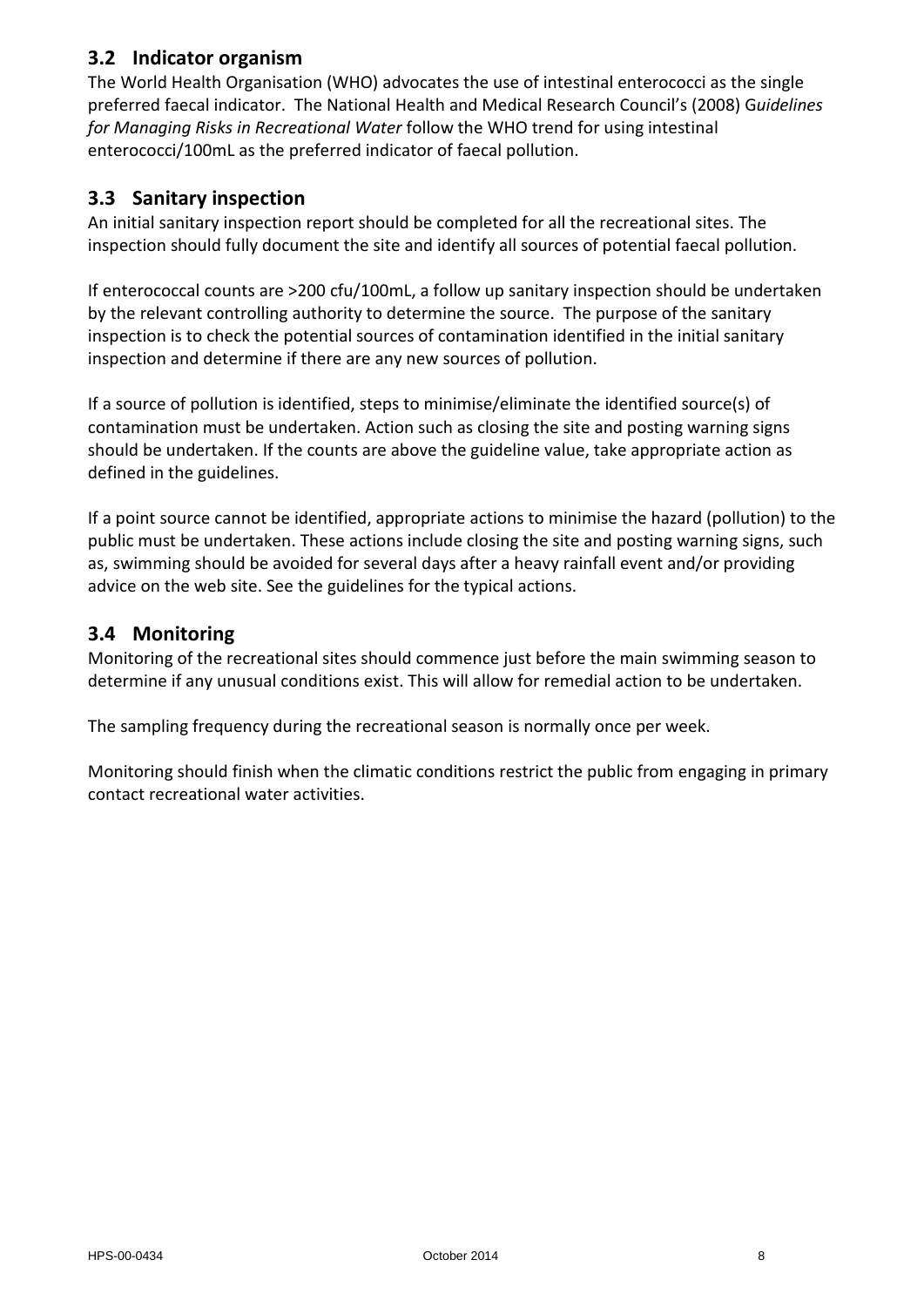## <span id="page-8-0"></span>**3.2 Indicator organism**

The World Health Organisation (WHO) advocates the use of intestinal enterococci as the single preferred faecal indicator. The National Health and Medical Research Council's (2008) G*uidelines for Managing Risks in Recreational Water* follow the WHO trend for using intestinal enterococci/100mL as the preferred indicator of faecal pollution.

### <span id="page-8-1"></span>**3.3 Sanitary inspection**

An initial sanitary inspection report should be completed for all the recreational sites. The inspection should fully document the site and identify all sources of potential faecal pollution.

If enterococcal counts are >200 cfu/100mL, a follow up sanitary inspection should be undertaken by the relevant controlling authority to determine the source. The purpose of the sanitary inspection is to check the potential sources of contamination identified in the initial sanitary inspection and determine if there are any new sources of pollution.

If a source of pollution is identified, steps to minimise/eliminate the identified source(s) of contamination must be undertaken. Action such as closing the site and posting warning signs should be undertaken. If the counts are above the guideline value, take appropriate action as defined in the guidelines.

If a point source cannot be identified, appropriate actions to minimise the hazard (pollution) to the public must be undertaken. These actions include closing the site and posting warning signs, such as, swimming should be avoided for several days after a heavy rainfall event and/or providing advice on the web site. See the guidelines for the typical actions.

### <span id="page-8-2"></span>**3.4 Monitoring**

Monitoring of the recreational sites should commence just before the main swimming season to determine if any unusual conditions exist. This will allow for remedial action to be undertaken.

The sampling frequency during the recreational season is normally once per week.

Monitoring should finish when the climatic conditions restrict the public from engaging in primary contact recreational water activities.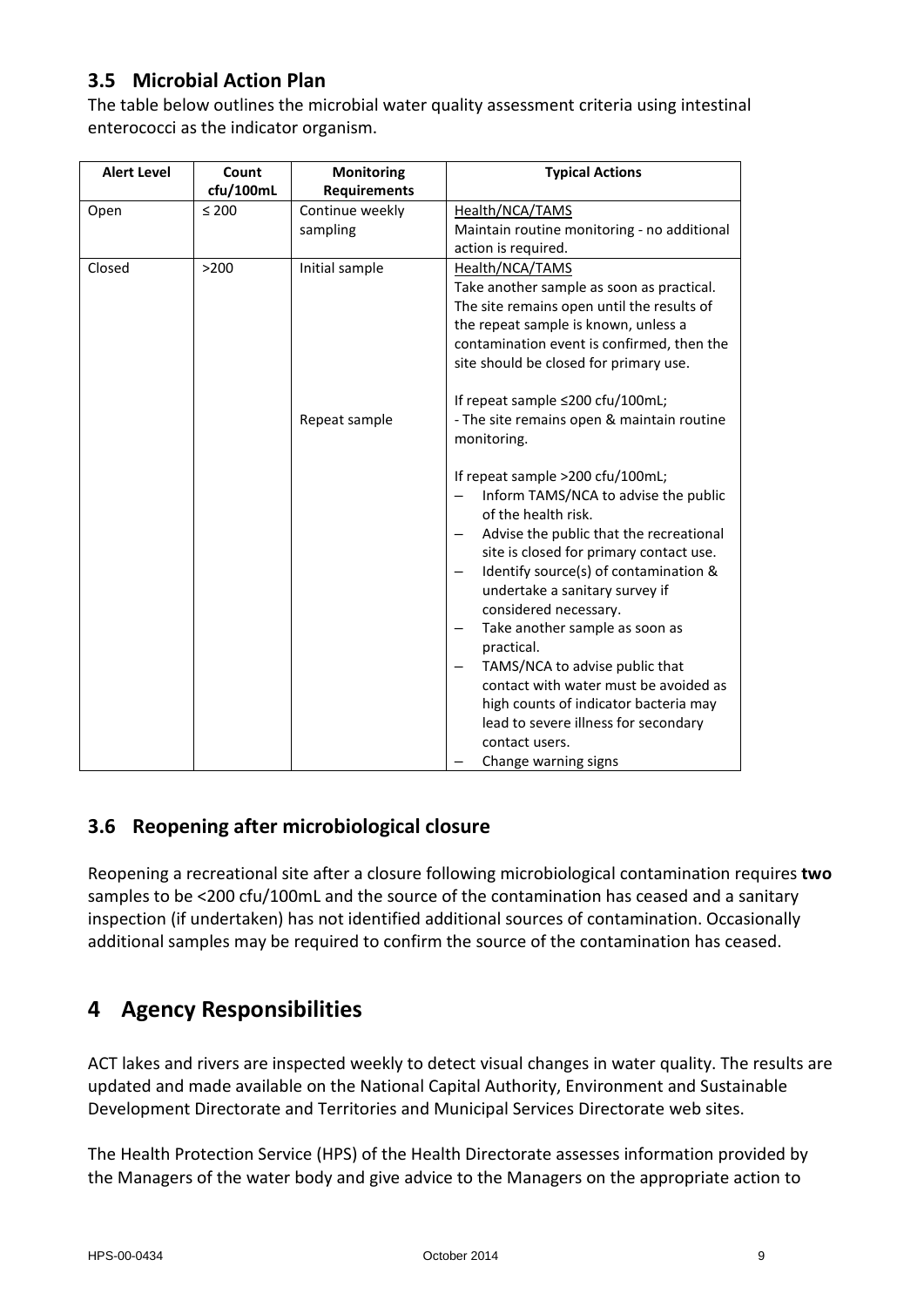# <span id="page-9-0"></span>**3.5 Microbial Action Plan**

The table below outlines the microbial water quality assessment criteria using intestinal enterococci as the indicator organism.

| <b>Alert Level</b> | Count      | Monitoring          | <b>Typical Actions</b>                                                                                                                                                                                                                                                                                                                                                                                                                                                                                                                               |
|--------------------|------------|---------------------|------------------------------------------------------------------------------------------------------------------------------------------------------------------------------------------------------------------------------------------------------------------------------------------------------------------------------------------------------------------------------------------------------------------------------------------------------------------------------------------------------------------------------------------------------|
|                    | cfu/100mL  | <b>Requirements</b> |                                                                                                                                                                                                                                                                                                                                                                                                                                                                                                                                                      |
| Open               | $\leq 200$ | Continue weekly     | Health/NCA/TAMS                                                                                                                                                                                                                                                                                                                                                                                                                                                                                                                                      |
|                    |            | sampling            | Maintain routine monitoring - no additional                                                                                                                                                                                                                                                                                                                                                                                                                                                                                                          |
|                    |            |                     | action is required.                                                                                                                                                                                                                                                                                                                                                                                                                                                                                                                                  |
| Closed             | >200       | Initial sample      | Health/NCA/TAMS                                                                                                                                                                                                                                                                                                                                                                                                                                                                                                                                      |
|                    |            |                     | Take another sample as soon as practical.                                                                                                                                                                                                                                                                                                                                                                                                                                                                                                            |
|                    |            |                     | The site remains open until the results of                                                                                                                                                                                                                                                                                                                                                                                                                                                                                                           |
|                    |            |                     | the repeat sample is known, unless a                                                                                                                                                                                                                                                                                                                                                                                                                                                                                                                 |
|                    |            |                     | contamination event is confirmed, then the                                                                                                                                                                                                                                                                                                                                                                                                                                                                                                           |
|                    |            |                     | site should be closed for primary use.                                                                                                                                                                                                                                                                                                                                                                                                                                                                                                               |
|                    |            |                     | If repeat sample ≤200 cfu/100mL;                                                                                                                                                                                                                                                                                                                                                                                                                                                                                                                     |
|                    |            | Repeat sample       | - The site remains open & maintain routine                                                                                                                                                                                                                                                                                                                                                                                                                                                                                                           |
|                    |            |                     | monitoring.                                                                                                                                                                                                                                                                                                                                                                                                                                                                                                                                          |
|                    |            |                     | If repeat sample >200 cfu/100mL;<br>Inform TAMS/NCA to advise the public<br>of the health risk.<br>Advise the public that the recreational<br>site is closed for primary contact use.<br>Identify source(s) of contamination &<br>-<br>undertake a sanitary survey if<br>considered necessary.<br>Take another sample as soon as<br>practical.<br>TAMS/NCA to advise public that<br>contact with water must be avoided as<br>high counts of indicator bacteria may<br>lead to severe illness for secondary<br>contact users.<br>Change warning signs |

# <span id="page-9-1"></span>**3.6 Reopening after microbiological closure**

Reopening a recreational site after a closure following microbiological contamination requires **two** samples to be <200 cfu/100mL and the source of the contamination has ceased and a sanitary inspection (if undertaken) has not identified additional sources of contamination. Occasionally additional samples may be required to confirm the source of the contamination has ceased.

# <span id="page-9-2"></span>**4 Agency Responsibilities**

ACT lakes and rivers are inspected weekly to detect visual changes in water quality. The results are updated and made available on the National Capital Authority, Environment and Sustainable Development Directorate and Territories and Municipal Services Directorate web sites.

The Health Protection Service (HPS) of the Health Directorate assesses information provided by the Managers of the water body and give advice to the Managers on the appropriate action to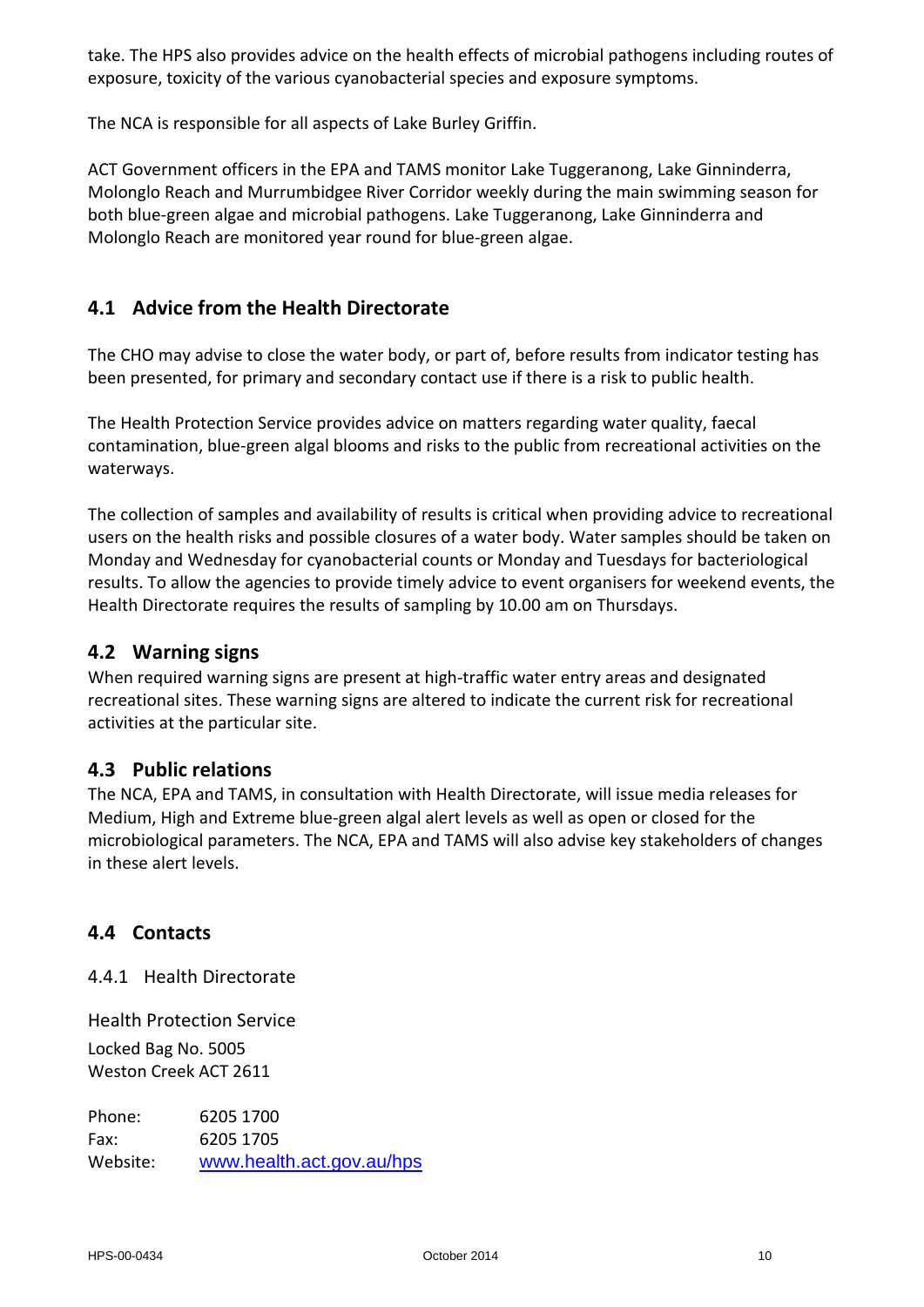take. The HPS also provides advice on the health effects of microbial pathogens including routes of exposure, toxicity of the various cyanobacterial species and exposure symptoms.

The NCA is responsible for all aspects of Lake Burley Griffin.

ACT Government officers in the EPA and TAMS monitor Lake Tuggeranong, Lake Ginninderra, Molonglo Reach and Murrumbidgee River Corridor weekly during the main swimming season for both blue-green algae and microbial pathogens. Lake Tuggeranong, Lake Ginninderra and Molonglo Reach are monitored year round for blue-green algae.

### <span id="page-10-0"></span>**4.1 Advice from the Health Directorate**

The CHO may advise to close the water body, or part of, before results from indicator testing has been presented, for primary and secondary contact use if there is a risk to public health.

The Health Protection Service provides advice on matters regarding water quality, faecal contamination, blue-green algal blooms and risks to the public from recreational activities on the waterways.

The collection of samples and availability of results is critical when providing advice to recreational users on the health risks and possible closures of a water body. Water samples should be taken on Monday and Wednesday for cyanobacterial counts or Monday and Tuesdays for bacteriological results. To allow the agencies to provide timely advice to event organisers for weekend events, the Health Directorate requires the results of sampling by 10.00 am on Thursdays.

#### <span id="page-10-1"></span>**4.2 Warning signs**

When required warning signs are present at high-traffic water entry areas and designated recreational sites. These warning signs are altered to indicate the current risk for recreational activities at the particular site.

#### <span id="page-10-2"></span>**4.3 Public relations**

The NCA, EPA and TAMS, in consultation with Health Directorate, will issue media releases for Medium, High and Extreme blue-green algal alert levels as well as open or closed for the microbiological parameters. The NCA, EPA and TAMS will also advise key stakeholders of changes in these alert levels.

#### <span id="page-10-3"></span>**4.4 Contacts**

4.4.1 Health Directorate

Health Protection Service Locked Bag No. 5005 Weston Creek ACT 2611

Phone: 6205 1700 Fax: 6205 1705 Website: [www.health.act.gov.au/hps](http://www.health.act.gov.au/hps)